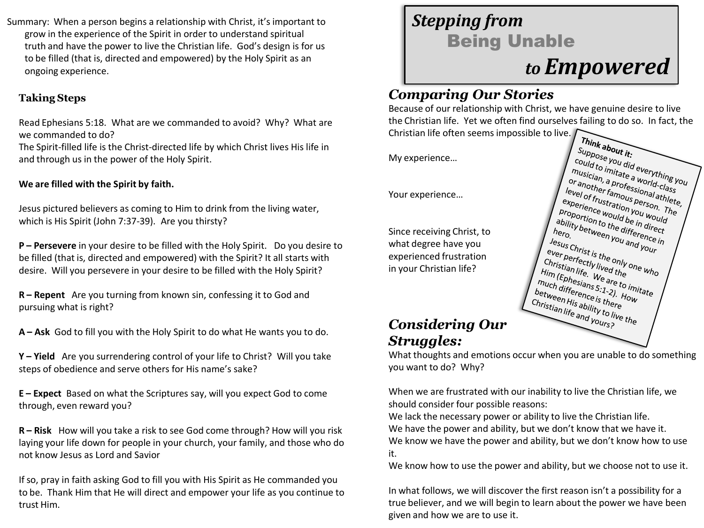Summary: When a person begins a relationship with Christ, it's important to grow in the experience of the Spirit in order to understand spiritual truth and have the power to live the Christian life. God's design is for us to be filled (that is, directed and empowered) by the Holy Spirit as an ongoing experience.

#### **Taking Steps**

Read Ephesians 5:18. What are we commanded to avoid? Why? What are we commanded to do?

The Spirit-filled life is the Christ-directed life by which Christ lives His life in and through us in the power of the Holy Spirit.

#### **We are filled with the Spirit by faith.**

Jesus pictured believers as coming to Him to drink from the living water, which is His Spirit (John 7:37-39). Are you thirsty?

**P – Persevere** in your desire to be filled with the Holy Spirit. Do you desire to be filled (that is, directed and empowered) with the Spirit? It all starts with desire. Will you persevere in your desire to be filled with the Holy Spirit?

**R – Repent** Are you turning from known sin, confessing it to God and pursuing what is right?

**A – Ask** God to fill you with the Holy Spirit to do what He wants you to do.

**Y – Yield** Are you surrendering control of your life to Christ? Will you take steps of obedience and serve others for His name's sake?

**E – Expect** Based on what the Scriptures say, will you expect God to come through, even reward you?

**R – Risk** How will you take a risk to see God come through? How will you risk laying your life down for people in your church, your family, and those who do not know Jesus as Lord and Savior

If so, pray in faith asking God to fill you with His Spirit as He commanded you to be. Thank Him that He will direct and empower your life as you continue to trust Him.

# *Stepping from*  Being Unable *to Empowered*

### *Comparing Our Stories*

Because of our relationship with Christ, we have genuine desire to live the Christian life. Yet we often find ourselves failing to do so. In fact, the Christian life often seems impossible to live.

My experience…

Your experience…

Since receiving Christ, to what degree have you experienced frustration in your Christian life?



## *Considering Our Struggles:*

What thoughts and emotions occur when you are unable to do something you want to do? Why?

When we are frustrated with our inability to live the Christian life, we should consider four possible reasons:

We lack the necessary power or ability to live the Christian life. We have the power and ability, but we don't know that we have it. We know we have the power and ability, but we don't know how to use it.

We know how to use the power and ability, but we choose not to use it.

In what follows, we will discover the first reason isn't a possibility for a true believer, and we will begin to learn about the power we have been given and how we are to use it.